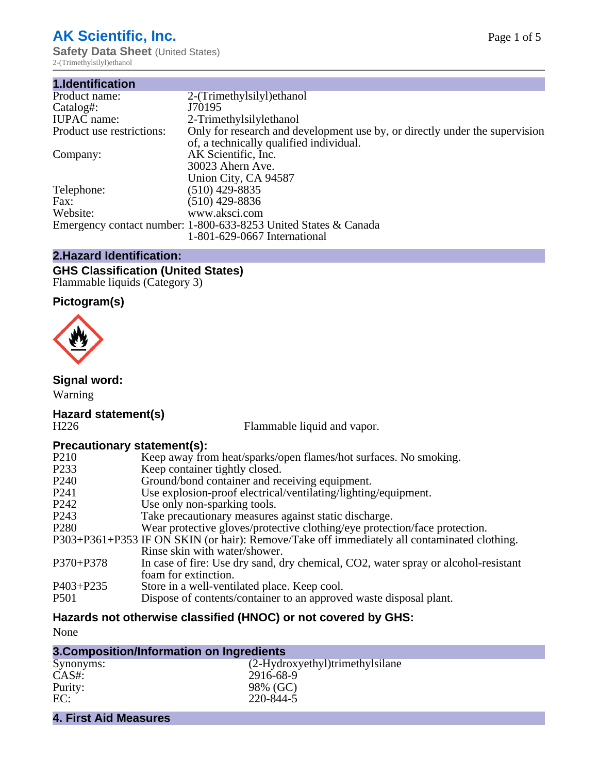## **AK Scientific, Inc.**

**Safety Data Sheet** (United States) 2-(Trimethylsilyl)ethanol

| 2-(Trimethylsilyl) ethanol                                                                                             |
|------------------------------------------------------------------------------------------------------------------------|
| J70195                                                                                                                 |
| 2-Trimethylsilylethanol                                                                                                |
| Only for research and development use by, or directly under the supervision<br>of, a technically qualified individual. |
| AK Scientific, Inc.                                                                                                    |
| 30023 Ahern Ave.                                                                                                       |
| Union City, CA 94587                                                                                                   |
| $(510)$ 429-8835                                                                                                       |
| $(510)$ 429-8836                                                                                                       |
| www.aksci.com                                                                                                          |
| Emergency contact number: 1-800-633-8253 United States & Canada                                                        |
| 1-801-629-0667 International                                                                                           |
|                                                                                                                        |

## **2.Hazard Identification:**

#### **GHS Classification (United States)** Flammable liquids (Category 3)

### **Pictogram(s)**



#### **Signal word:**

Warning

# **Hazard statement(s)**

Flammable liquid and vapor.

#### **Precautionary statement(s):**

| P <sub>210</sub>  | Keep away from heat/sparks/open flames/hot surfaces. No smoking.                            |
|-------------------|---------------------------------------------------------------------------------------------|
| P <sub>2</sub> 33 | Keep container tightly closed.                                                              |
| P <sub>240</sub>  | Ground/bond container and receiving equipment.                                              |
| P <sub>241</sub>  | Use explosion-proof electrical/ventilating/lighting/equipment.                              |
| P <sub>242</sub>  | Use only non-sparking tools.                                                                |
| P <sub>243</sub>  | Take precautionary measures against static discharge.                                       |
| P <sub>280</sub>  | Wear protective gloves/protective clothing/eye protection/face protection.                  |
|                   | P303+P361+P353 IF ON SKIN (or hair): Remove/Take off immediately all contaminated clothing. |
|                   | Rinse skin with water/shower.                                                               |
| $P370 + P378$     | In case of fire: Use dry sand, dry chemical, CO2, water spray or alcohol-resistant          |
|                   | foam for extinction.                                                                        |
| $P403 + P235$     | Store in a well-ventilated place. Keep cool.                                                |
| <b>P501</b>       | Dispose of contents/container to an approved waste disposal plant.                          |
|                   |                                                                                             |

#### **Hazards not otherwise classified (HNOC) or not covered by GHS:**

None

| 3. Composition/Information on Ingredients |                                 |  |
|-------------------------------------------|---------------------------------|--|
| Synonyms:                                 | (2-Hydroxyethyl)trimethylsilane |  |
| $CAS#$ :                                  | 2916-68-9                       |  |
| Purity:                                   | 98% (GC)                        |  |
| EC:                                       | 220-844-5                       |  |
| <b>4. First Aid Measures</b>              |                                 |  |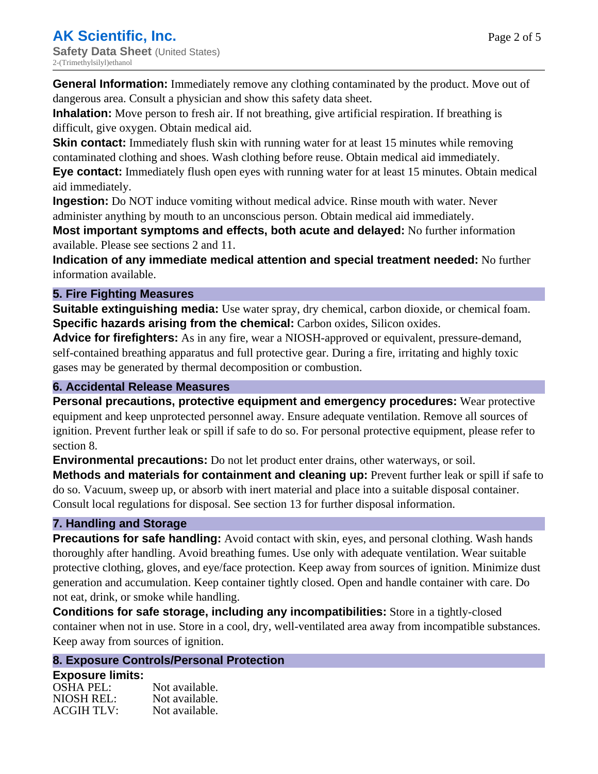**General Information:** Immediately remove any clothing contaminated by the product. Move out of dangerous area. Consult a physician and show this safety data sheet.

**Inhalation:** Move person to fresh air. If not breathing, give artificial respiration. If breathing is difficult, give oxygen. Obtain medical aid.

**Skin contact:** Immediately flush skin with running water for at least 15 minutes while removing contaminated clothing and shoes. Wash clothing before reuse. Obtain medical aid immediately.

**Eye contact:** Immediately flush open eyes with running water for at least 15 minutes. Obtain medical aid immediately.

**Ingestion:** Do NOT induce vomiting without medical advice. Rinse mouth with water. Never administer anything by mouth to an unconscious person. Obtain medical aid immediately.

**Most important symptoms and effects, both acute and delayed:** No further information available. Please see sections 2 and 11.

**Indication of any immediate medical attention and special treatment needed:** No further information available.

#### **5. Fire Fighting Measures**

**Suitable extinguishing media:** Use water spray, dry chemical, carbon dioxide, or chemical foam. **Specific hazards arising from the chemical:** Carbon oxides, Silicon oxides.

**Advice for firefighters:** As in any fire, wear a NIOSH-approved or equivalent, pressure-demand, self-contained breathing apparatus and full protective gear. During a fire, irritating and highly toxic gases may be generated by thermal decomposition or combustion.

#### **6. Accidental Release Measures**

**Personal precautions, protective equipment and emergency procedures:** Wear protective equipment and keep unprotected personnel away. Ensure adequate ventilation. Remove all sources of ignition. Prevent further leak or spill if safe to do so. For personal protective equipment, please refer to section 8.

**Environmental precautions:** Do not let product enter drains, other waterways, or soil.

**Methods and materials for containment and cleaning up:** Prevent further leak or spill if safe to do so. Vacuum, sweep up, or absorb with inert material and place into a suitable disposal container. Consult local regulations for disposal. See section 13 for further disposal information.

#### **7. Handling and Storage**

**Precautions for safe handling:** Avoid contact with skin, eyes, and personal clothing. Wash hands thoroughly after handling. Avoid breathing fumes. Use only with adequate ventilation. Wear suitable protective clothing, gloves, and eye/face protection. Keep away from sources of ignition. Minimize dust generation and accumulation. Keep container tightly closed. Open and handle container with care. Do not eat, drink, or smoke while handling.

**Conditions for safe storage, including any incompatibilities:** Store in a tightly-closed container when not in use. Store in a cool, dry, well-ventilated area away from incompatible substances. Keep away from sources of ignition.

#### **8. Exposure Controls/Personal Protection**

**Exposure limits:** OSHA PEL: Not available. NIOSH REL: Not available.<br>ACGIH TLV: Not available. **ACGIH TLV:**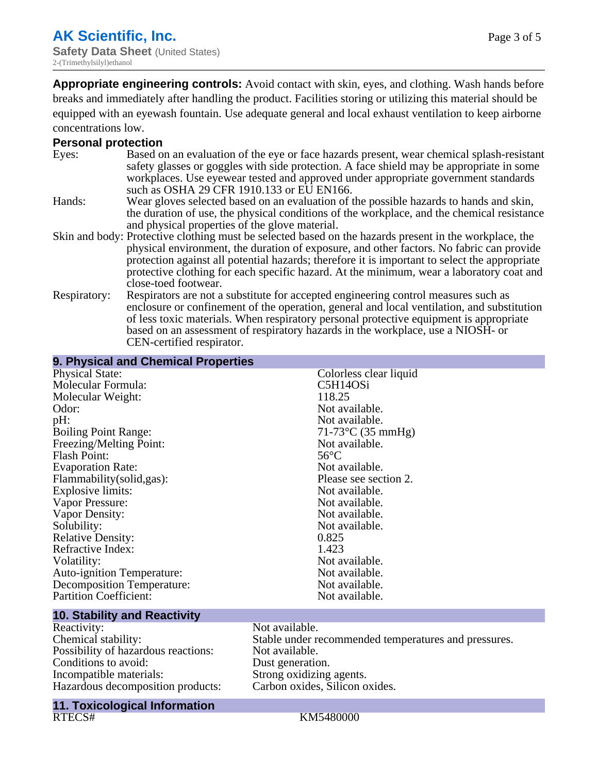**Appropriate engineering controls:** Avoid contact with skin, eyes, and clothing. Wash hands before breaks and immediately after handling the product. Facilities storing or utilizing this material should be equipped with an eyewash fountain. Use adequate general and local exhaust ventilation to keep airborne concentrations low.

#### **Personal protection**

| Eyes:        | Based on an evaluation of the eye or face hazards present, wear chemical splash-resistant<br>safety glasses or goggles with side protection. A face shield may be appropriate in some<br>workplaces. Use eyewear tested and approved under appropriate government standards                                                                                                                                             |
|--------------|-------------------------------------------------------------------------------------------------------------------------------------------------------------------------------------------------------------------------------------------------------------------------------------------------------------------------------------------------------------------------------------------------------------------------|
|              | such as OSHA 29 CFR 1910.133 or EU EN166.                                                                                                                                                                                                                                                                                                                                                                               |
| Hands:       | Wear gloves selected based on an evaluation of the possible hazards to hands and skin,                                                                                                                                                                                                                                                                                                                                  |
|              | the duration of use, the physical conditions of the workplace, and the chemical resistance<br>and physical properties of the glove material.                                                                                                                                                                                                                                                                            |
|              | Skin and body: Protective clothing must be selected based on the hazards present in the workplace, the<br>physical environment, the duration of exposure, and other factors. No fabric can provide<br>protection against all potential hazards; therefore it is important to select the appropriate<br>protective clothing for each specific hazard. At the minimum, wear a laboratory coat and<br>close-toed footwear. |
| Respiratory: | Respirators are not a substitute for accepted engineering control measures such as<br>enclosure or confinement of the operation, general and local ventilation, and substitution<br>of less toxic materials. When respiratory personal protective equipment is appropriate<br>based on an assessment of respiratory hazards in the workplace, use a NIOSH- or<br>CEN-certified respirator.                              |

| 9. Physical and Chemical Properties          |                        |
|----------------------------------------------|------------------------|
| <b>Physical State:</b>                       | Colorless clear liquid |
| Molecular Formula:                           | C5H14OSi               |
| Molecular Weight:                            | 118.25                 |
| Odor:                                        | Not available.         |
| pH:                                          | Not available.         |
| <b>Boiling Point Range:</b>                  | $71-73$ °C (35 mmHg)   |
| Freezing/Melting Point:                      | Not available.         |
| <b>Flash Point:</b>                          | $56^{\circ}$ C         |
| <b>Evaporation Rate:</b>                     | Not available.         |
| Flammability(solid,gas):                     | Please see section 2.  |
| Explosive limits:                            | Not available.         |
| Vapor Pressure:                              | Not available.         |
| Vapor Density:                               | Not available.         |
| Solubility:                                  | Not available.         |
| <b>Relative Density:</b>                     | 0.825                  |
| Refractive Index:                            | 1.423                  |
| Volatility:                                  | Not available.         |
| <b>Auto-ignition Temperature:</b>            | Not available.         |
| <b>Decomposition Temperature:</b>            | Not available.         |
| <b>Partition Coefficient:</b>                | Not available.         |
| the control of the control of the control of |                        |

#### **10. Stability and Reactivity**

Reactivity: Not available.<br>
Chemical stability: Stable under re Possibility of hazardous reactions: Not available.<br>
Conditions to avoid: Dust generation. Conditions to avoid:<br>Incompatible materials: Hazardous decomposition products:

Stable under recommended temperatures and pressures.<br>Not available. Strong oxidizing agents.<br>Carbon oxides, Silicon oxides.

#### **11. Toxicological Information**

#### RTECS# KM5480000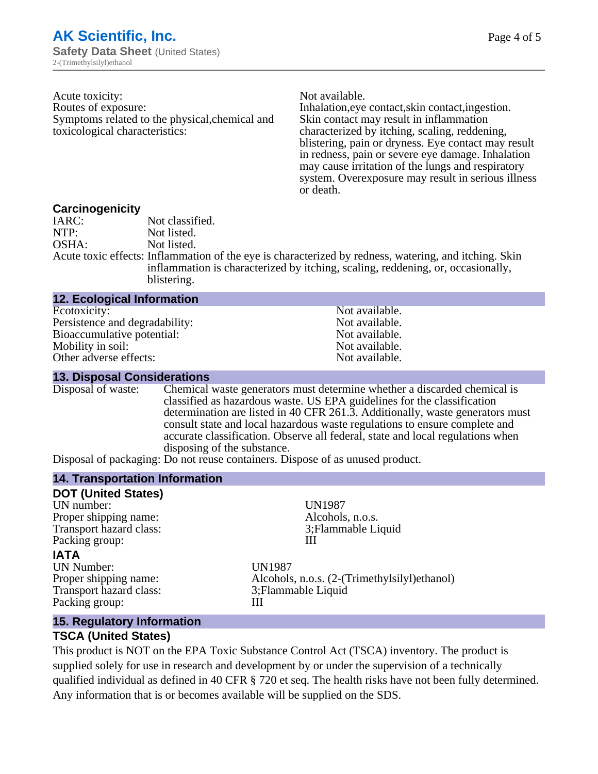Acute toxicity: Not available. Routes of exposure: Inhalation,eye contact,skin contact,ingestion. Symptoms related to the physical,chemical and toxicological characteristics:

Skin contact may result in inflammation characterized by itching, scaling, reddening, blistering, pain or dryness. Eye contact may result in redness, pain or severe eye damage. Inhalation may cause irritation of the lungs and respiratory system. Overexposure may result in serious illness or death.

#### **Carcinogenicity**

| IARC: | Not classified.                                                                                       |
|-------|-------------------------------------------------------------------------------------------------------|
| NTP:  | Not listed.                                                                                           |
| OSHA: | Not listed.                                                                                           |
|       | Acute toxic effects: Inflammation of the eye is characterized by redness, watering, and itching. Skin |
|       | inflammation is characterized by itching, scaling, reddening, or, occasionally,                       |
|       | blistering.                                                                                           |

| <b>12. Ecological Information</b> |                |
|-----------------------------------|----------------|
| Ecotoxicity:                      | Not available. |
| Persistence and degradability:    | Not available. |
| Bioaccumulative potential:        | Not available. |
| Mobility in soil:                 | Not available. |
| Other adverse effects:            | Not available. |

#### **13. Disposal Considerations**

Disposal of waste: Chemical waste generators must determine whether a discarded chemical is classified as hazardous waste. US EPA guidelines for the classification determination are listed in 40 CFR 261.3. Additionally, waste generators must consult state and local hazardous waste regulations to ensure complete and accurate classification. Observe all federal, state and local regulations when disposing of the substance.

Disposal of packaging: Do not reuse containers. Dispose of as unused product.

#### **14. Transportation Information**

| <b>DOT (United States)</b>     |                                               |
|--------------------------------|-----------------------------------------------|
| UN number:                     | <b>UN1987</b>                                 |
| Proper shipping name:          | Alcohols, n.o.s.                              |
| Transport hazard class:        | 3; Flammable Liquid                           |
| Packing group:                 |                                               |
| <b>IATA</b>                    |                                               |
| <b>UN Number:</b>              | <b>UN1987</b>                                 |
| Proper shipping name:          | Alcohols, n.o.s. (2-(Trimethylsilyl) ethanol) |
| Transport hazard class:        | 3; Flammable Liquid                           |
| Packing group:                 | Ш                                             |
| $AE$ Desubstantial proposation |                                               |

#### **15. Regulatory Information**

#### **TSCA (United States)**

This product is NOT on the EPA Toxic Substance Control Act (TSCA) inventory. The product is supplied solely for use in research and development by or under the supervision of a technically qualified individual as defined in 40 CFR § 720 et seq. The health risks have not been fully determined. Any information that is or becomes available will be supplied on the SDS.